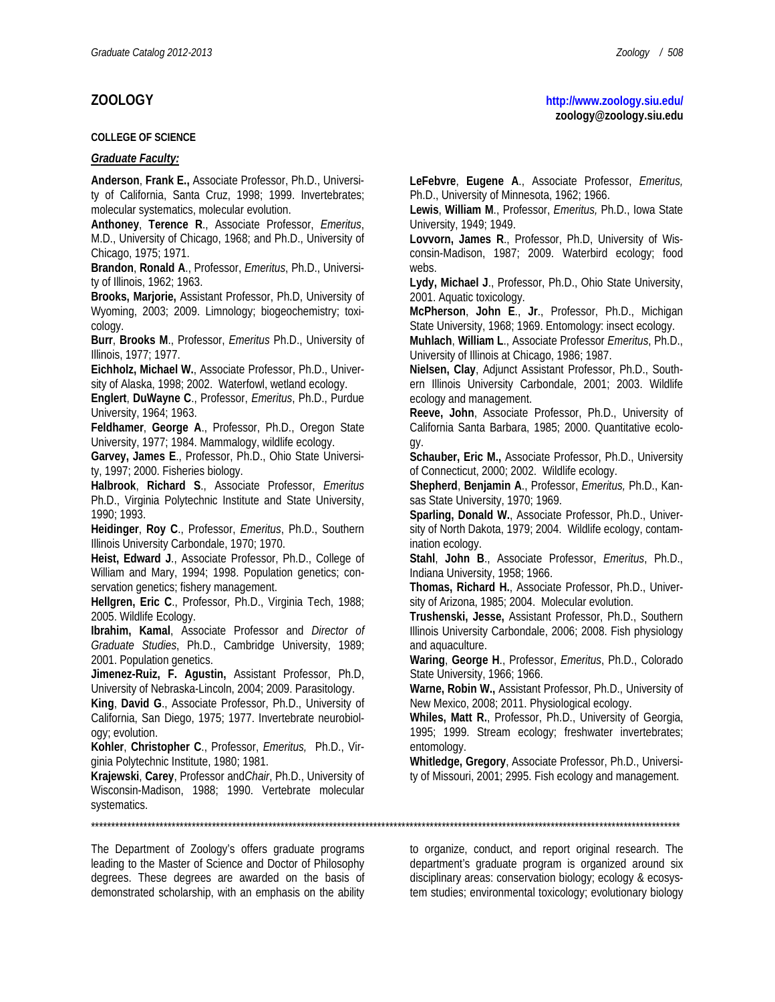#### **COLLEGE OF SCIENCE**

### *Graduate Faculty:*

**Anderson**, **Frank E.,** Associate Professor, Ph.D., University of California, Santa Cruz, 1998; 1999. Invertebrates; molecular systematics, molecular evolution.

**Anthoney**, **Terence R**., Associate Professor, *Emeritus*, M.D., University of Chicago, 1968; and Ph.D., University of Chicago, 1975; 1971.

**Brandon**, **Ronald A**., Professor, *Emeritus*, Ph.D., University of Illinois, 1962; 1963.

**Brooks, Marjorie,** Assistant Professor, Ph.D, University of Wyoming, 2003; 2009. Limnology; biogeochemistry; toxicology.

**Burr**, **Brooks M**., Professor, *Emeritus* Ph.D., University of Illinois, 1977; 1977.

**Eichholz, Michael W.**, Associate Professor, Ph.D., University of Alaska, 1998; 2002. Waterfowl, wetland ecology.

**Englert**, **DuWayne C**., Professor, *Emeritus*, Ph.D., Purdue University, 1964; 1963.

**Feldhamer**, **George A**., Professor, Ph.D., Oregon State University, 1977; 1984. Mammalogy, wildlife ecology.

**Garvey, James E**., Professor, Ph.D., Ohio State University, 1997; 2000. Fisheries biology.

**Halbrook**, **Richard S**., Associate Professor, *Emeritus* Ph.D., Virginia Polytechnic Institute and State University, 1990; 1993.

**Heidinger**, **Roy C**., Professor, *Emeritus*, Ph.D., Southern Illinois University Carbondale, 1970; 1970.

**Heist, Edward J**., Associate Professor, Ph.D., College of William and Mary, 1994; 1998. Population genetics; conservation genetics; fishery management.

**Hellgren, Eric C**., Professor, Ph.D., Virginia Tech, 1988; 2005. Wildlife Ecology.

**Ibrahim, Kamal**, Associate Professor and *Director of Graduate Studies*, Ph.D., Cambridge University, 1989; 2001. Population genetics.

**Jimenez-Ruiz, F. Agustin,** Assistant Professor, Ph.D, University of Nebraska-Lincoln, 2004; 2009. Parasitology.

**King**, **David G**., Associate Professor, Ph.D., University of California, San Diego, 1975; 1977. Invertebrate neurobiology; evolution.

**Kohler**, **Christopher C**., Professor, *Emeritus,* Ph.D., Virginia Polytechnic Institute, 1980; 1981.

**Krajewski**, **Carey**, Professor and*Chair*, Ph.D., University of Wisconsin-Madison, 1988; 1990. Vertebrate molecular systematics.

\*\*\*\*\*\*\*\*\*\*\*\*\*\*\*\*\*\*\*\*\*\*\*\*\*\*\*\*\*\*\*\*\*\*\*\*\*\*\*\*\*\*\*\*\*\*\*\*\*\*\*\*\*\*\*\*\*\*\*\*\*\*\*\*\*\*\*\*\*\*\*\*\*\*\*\*\*\*\*\*\*\*\*\*\*\*\*\*\*\*\*\*\*\*\*\*\*\*\*\*\*\*\*\*\*\*\*\*\*\*\*\*\*\*\*\*\*\*\*\*\*\*\*\*\*\*\*\*\*\*\*\*\*\*\*\*\*\*\*\*\*\*\*\*\*\*

The Department of Zoology's offers graduate programs leading to the Master of Science and Doctor of Philosophy degrees. These degrees are awarded on the basis of demonstrated scholarship, with an emphasis on the ability **LeFebvre**, **Eugene A**., Associate Professor, *Emeritus,*  Ph.D., University of Minnesota, 1962; 1966.

**Lewis**, **William M**., Professor, *Emeritus,* Ph.D., Iowa State University, 1949; 1949.

**Lovvorn, James R**., Professor, Ph.D, University of Wisconsin-Madison, 1987; 2009. Waterbird ecology; food webs.

**Lydy, Michael J**., Professor, Ph.D., Ohio State University, 2001. Aquatic toxicology.

**McPherson**, **John E**., **Jr**., Professor, Ph.D., Michigan State University, 1968; 1969. Entomology: insect ecology.

**Muhlach**, **William L**., Associate Professor *Emeritus*, Ph.D., University of Illinois at Chicago, 1986; 1987.

**Nielsen, Clay**, Adjunct Assistant Professor, Ph.D., Southern Illinois University Carbondale, 2001; 2003. Wildlife ecology and management.

**Reeve, John**, Associate Professor, Ph.D., University of California Santa Barbara, 1985; 2000. Quantitative ecology.

**Schauber, Eric M.,** Associate Professor, Ph.D., University of Connecticut, 2000; 2002. Wildlife ecology.

**Shepherd**, **Benjamin A**., Professor, *Emeritus,* Ph.D., Kansas State University, 1970; 1969.

**Sparling, Donald W.**, Associate Professor, Ph.D., University of North Dakota, 1979; 2004. Wildlife ecology, contamination ecology.

**Stahl**, **John B**., Associate Professor, *Emeritus*, Ph.D., Indiana University, 1958; 1966.

**Thomas, Richard H.**, Associate Professor, Ph.D., University of Arizona, 1985; 2004. Molecular evolution.

**Trushenski, Jesse,** Assistant Professor, Ph.D., Southern Illinois University Carbondale, 2006; 2008. Fish physiology and aquaculture.

**Waring**, **George H**., Professor, *Emeritus*, Ph.D., Colorado State University, 1966; 1966.

**Warne, Robin W.,** Assistant Professor, Ph.D., University of New Mexico, 2008; 2011. Physiological ecology.

**Whiles, Matt R.**, Professor, Ph.D., University of Georgia, 1995; 1999. Stream ecology; freshwater invertebrates; entomology.

**Whitledge, Gregory**, Associate Professor, Ph.D., University of Missouri, 2001; 2995. Fish ecology and management.

to organize, conduct, and report original research. The department's graduate program is organized around six disciplinary areas: conservation biology; ecology & ecosystem studies; environmental toxicology; evolutionary biology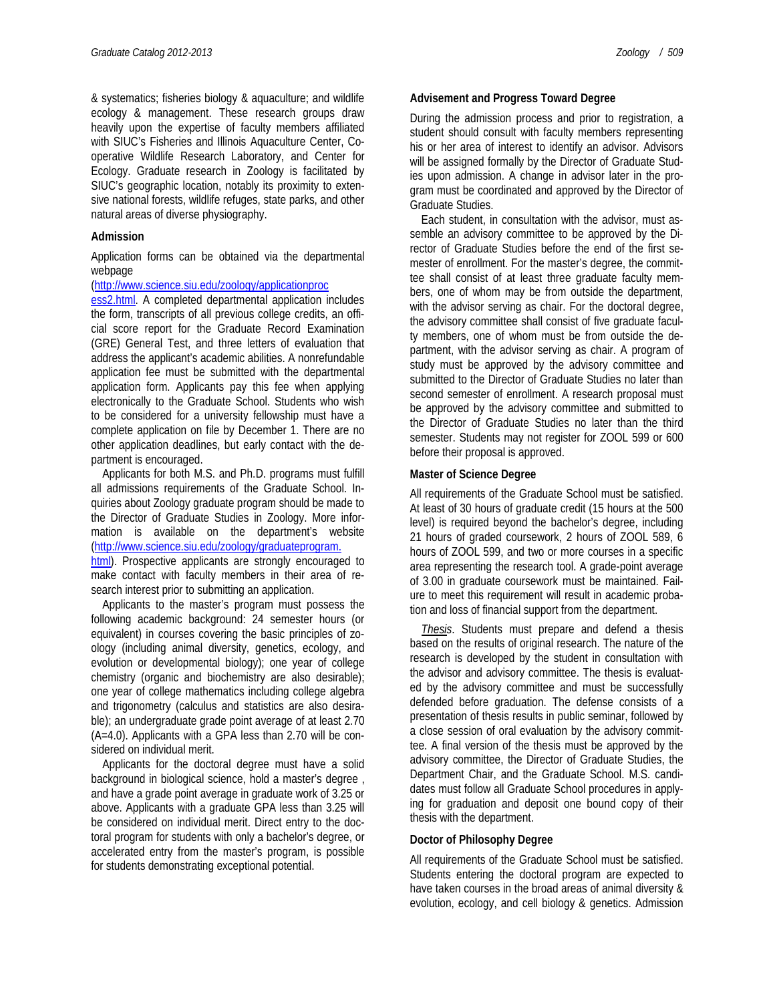& systematics; fisheries biology & aquaculture; and wildlife ecology & management. These research groups draw heavily upon the expertise of faculty members affiliated with SIUC's Fisheries and Illinois Aquaculture Center, Cooperative Wildlife Research Laboratory, and Center for Ecology. Graduate research in Zoology is facilitated by SIUC's geographic location, notably its proximity to extensive national forests, wildlife refuges, state parks, and other natural areas of diverse physiography.

### **Admission**

Application forms can be obtained via the departmental webpage

#### [\(http://www.science.siu.edu/zoology/applicationproc](http://www.science.siu.edu/zoology/applicationproc%20ess2.html)

[ess2.html.](http://www.science.siu.edu/zoology/applicationproc%20ess2.html) A completed departmental application includes the form, transcripts of all previous college credits, an official score report for the Graduate Record Examination (GRE) General Test, and three letters of evaluation that address the applicant's academic abilities. A nonrefundable application fee must be submitted with the departmental application form. Applicants pay this fee when applying electronically to the Graduate School. Students who wish to be considered for a university fellowship must have a complete application on file by December 1. There are no other application deadlines, but early contact with the department is encouraged.

Applicants for both M.S. and Ph.D. programs must fulfill all admissions requirements of the Graduate School. Inquiries about Zoology graduate program should be made to the Director of Graduate Studies in Zoology. More information is available on the department's website [\(http://www.science.siu.edu/zoology/graduateprogram.](http://www.science.siu.edu/zoology/graduateprogram) 

[html\)](http://www.science.siu.edu/zoology/graduateprogram). Prospective applicants are strongly encouraged to make contact with faculty members in their area of research interest prior to submitting an application.

Applicants to the master's program must possess the following academic background: 24 semester hours (or equivalent) in courses covering the basic principles of zoology (including animal diversity, genetics, ecology, and evolution or developmental biology); one year of college chemistry (organic and biochemistry are also desirable); one year of college mathematics including college algebra and trigonometry (calculus and statistics are also desirable); an undergraduate grade point average of at least 2.70 (A=4.0). Applicants with a GPA less than 2.70 will be considered on individual merit.

Applicants for the doctoral degree must have a solid background in biological science, hold a master's degree , and have a grade point average in graduate work of 3.25 or above. Applicants with a graduate GPA less than 3.25 will be considered on individual merit. Direct entry to the doctoral program for students with only a bachelor's degree, or accelerated entry from the master's program, is possible for students demonstrating exceptional potential.

During the admission process and prior to registration, a student should consult with faculty members representing his or her area of interest to identify an advisor. Advisors will be assigned formally by the Director of Graduate Studies upon admission. A change in advisor later in the program must be coordinated and approved by the Director of Graduate Studies.

Each student, in consultation with the advisor, must assemble an advisory committee to be approved by the Director of Graduate Studies before the end of the first semester of enrollment. For the master's degree, the committee shall consist of at least three graduate faculty members, one of whom may be from outside the department, with the advisor serving as chair. For the doctoral degree, the advisory committee shall consist of five graduate faculty members, one of whom must be from outside the department, with the advisor serving as chair. A program of study must be approved by the advisory committee and submitted to the Director of Graduate Studies no later than second semester of enrollment. A research proposal must be approved by the advisory committee and submitted to the Director of Graduate Studies no later than the third semester. Students may not register for ZOOL 599 or 600 before their proposal is approved.

## **Master of Science Degree**

All requirements of the Graduate School must be satisfied. At least of 30 hours of graduate credit (15 hours at the 500 level) is required beyond the bachelor's degree, including 21 hours of graded coursework, 2 hours of ZOOL 589, 6 hours of ZOOL 599, and two or more courses in a specific area representing the research tool. A grade-point average of 3.00 in graduate coursework must be maintained. Failure to meet this requirement will result in academic probation and loss of financial support from the department.

*Thesis*. Students must prepare and defend a thesis based on the results of original research. The nature of the research is developed by the student in consultation with the advisor and advisory committee. The thesis is evaluated by the advisory committee and must be successfully defended before graduation. The defense consists of a presentation of thesis results in public seminar, followed by a close session of oral evaluation by the advisory committee. A final version of the thesis must be approved by the advisory committee, the Director of Graduate Studies, the Department Chair, and the Graduate School. M.S. candidates must follow all Graduate School procedures in applying for graduation and deposit one bound copy of their thesis with the department.

# **Doctor of Philosophy Degree**

All requirements of the Graduate School must be satisfied. Students entering the doctoral program are expected to have taken courses in the broad areas of animal diversity & evolution, ecology, and cell biology & genetics. Admission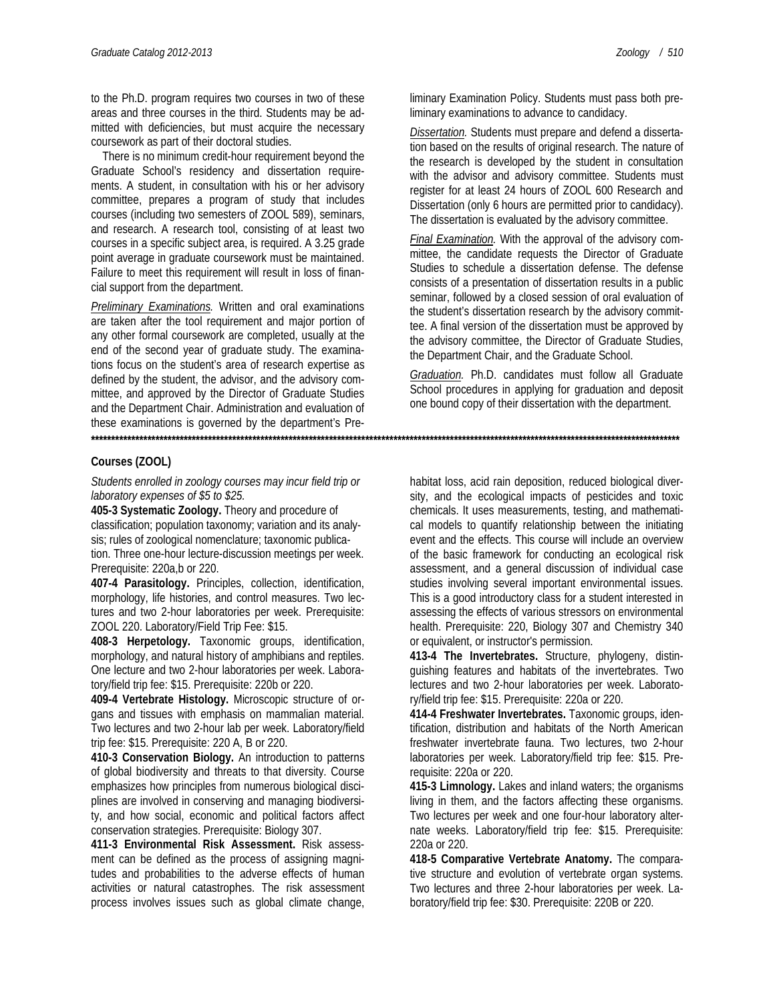to the Ph.D. program requires two courses in two of these areas and three courses in the third. Students may be ad-

mitted with deficiencies, but must acquire the necessary coursework as part of their doctoral studies.

There is no minimum credit-hour requirement beyond the Graduate School's residency and dissertation requirements. A student, in consultation with his or her advisory committee, prepares a program of study that includes courses (including two semesters of ZOOL 589), seminars, and research. A research tool, consisting of at least two courses in a specific subject area, is required. A 3.25 grade point average in graduate coursework must be maintained. Failure to meet this requirement will result in loss of financial support from the department.

*Preliminary Examinations.* Written and oral examinations are taken after the tool requirement and major portion of any other formal coursework are completed, usually at the end of the second year of graduate study. The examinations focus on the student's area of research expertise as defined by the student, the advisor, and the advisory committee, and approved by the Director of Graduate Studies and the Department Chair. Administration and evaluation of these examinations is governed by the department's Pre-**\*\*\*\*\*\*\*\*\*\*\*\*\*\*\*\*\*\*\*\*\*\*\*\*\*\*\*\*\*\*\*\*\*\*\*\*\*\*\*\*\*\*\*\*\*\*\*\*\*\*\*\*\*\*\*\*\*\*\*\*\*\*\*\*\*\*\*\*\*\*\*\*\*\*\*\*\*\*\*\*\*\*\*\*\*\*\*\*\*\*\*\*\*\*\*\*\*\*\*\*\*\*\*\*\*\*\*\*\*\*\*\*\*\*\*\*\*\*\*\*\*\*\*\*\*\*\*\*\*\*\*\*\*\*\*\*\*\*\*\*\*\*\*\*\*\***

# **Courses (ZOOL)**

#### *Students enrolled in zoology courses may incur field trip or laboratory expenses of \$5 to \$25.*

**405-3 Systematic Zoology.** Theory and procedure of classification; population taxonomy; variation and its analysis; rules of zoological nomenclature; taxonomic publication. Three one-hour lecture-discussion meetings per week. Prerequisite: 220a,b or 220.

**407-4 Parasitology.** Principles, collection, identification, morphology, life histories, and control measures. Two lectures and two 2-hour laboratories per week. Prerequisite: ZOOL 220. Laboratory/Field Trip Fee: \$15.

**408-3 Herpetology.** Taxonomic groups, identification, morphology, and natural history of amphibians and reptiles. One lecture and two 2-hour laboratories per week. Laboratory/field trip fee: \$15. Prerequisite: 220b or 220.

**409-4 Vertebrate Histology.** Microscopic structure of organs and tissues with emphasis on mammalian material. Two lectures and two 2-hour lab per week. Laboratory/field trip fee: \$15. Prerequisite: 220 A, B or 220.

**410-3 Conservation Biology.** An introduction to patterns of global biodiversity and threats to that diversity. Course emphasizes how principles from numerous biological disciplines are involved in conserving and managing biodiversity, and how social, economic and political factors affect conservation strategies. Prerequisite: Biology 307.

**411-3 Environmental Risk Assessment.** Risk assessment can be defined as the process of assigning magnitudes and probabilities to the adverse effects of human activities or natural catastrophes. The risk assessment process involves issues such as global climate change,

*Dissertation.* Students must prepare and defend a dissertation based on the results of original research. The nature of the research is developed by the student in consultation with the advisor and advisory committee. Students must register for at least 24 hours of ZOOL 600 Research and Dissertation (only 6 hours are permitted prior to candidacy). The dissertation is evaluated by the advisory committee.

*Final Examination.* With the approval of the advisory committee, the candidate requests the Director of Graduate Studies to schedule a dissertation defense. The defense consists of a presentation of dissertation results in a public seminar, followed by a closed session of oral evaluation of the student's dissertation research by the advisory committee. A final version of the dissertation must be approved by the advisory committee, the Director of Graduate Studies, the Department Chair, and the Graduate School.

*Graduation.* Ph.D. candidates must follow all Graduate School procedures in applying for graduation and deposit one bound copy of their dissertation with the department.

habitat loss, acid rain deposition, reduced biological diversity, and the ecological impacts of pesticides and toxic chemicals. It uses measurements, testing, and mathematical models to quantify relationship between the initiating event and the effects. This course will include an overview of the basic framework for conducting an ecological risk assessment, and a general discussion of individual case studies involving several important environmental issues. This is a good introductory class for a student interested in assessing the effects of various stressors on environmental health. Prerequisite: 220, Biology 307 and Chemistry 340 or equivalent, or instructor's permission.

**413-4 The Invertebrates.** Structure, phylogeny, distinguishing features and habitats of the invertebrates. Two lectures and two 2-hour laboratories per week. Laboratory/field trip fee: \$15. Prerequisite: 220a or 220.

**414-4 Freshwater Invertebrates.** Taxonomic groups, identification, distribution and habitats of the North American freshwater invertebrate fauna. Two lectures, two 2-hour laboratories per week. Laboratory/field trip fee: \$15. Prerequisite: 220a or 220.

**415-3 Limnology.** Lakes and inland waters; the organisms living in them, and the factors affecting these organisms. Two lectures per week and one four-hour laboratory alternate weeks. Laboratory/field trip fee: \$15. Prerequisite: 220a or 220.

**418-5 Comparative Vertebrate Anatomy.** The comparative structure and evolution of vertebrate organ systems. Two lectures and three 2-hour laboratories per week. Laboratory/field trip fee: \$30. Prerequisite: 220B or 220.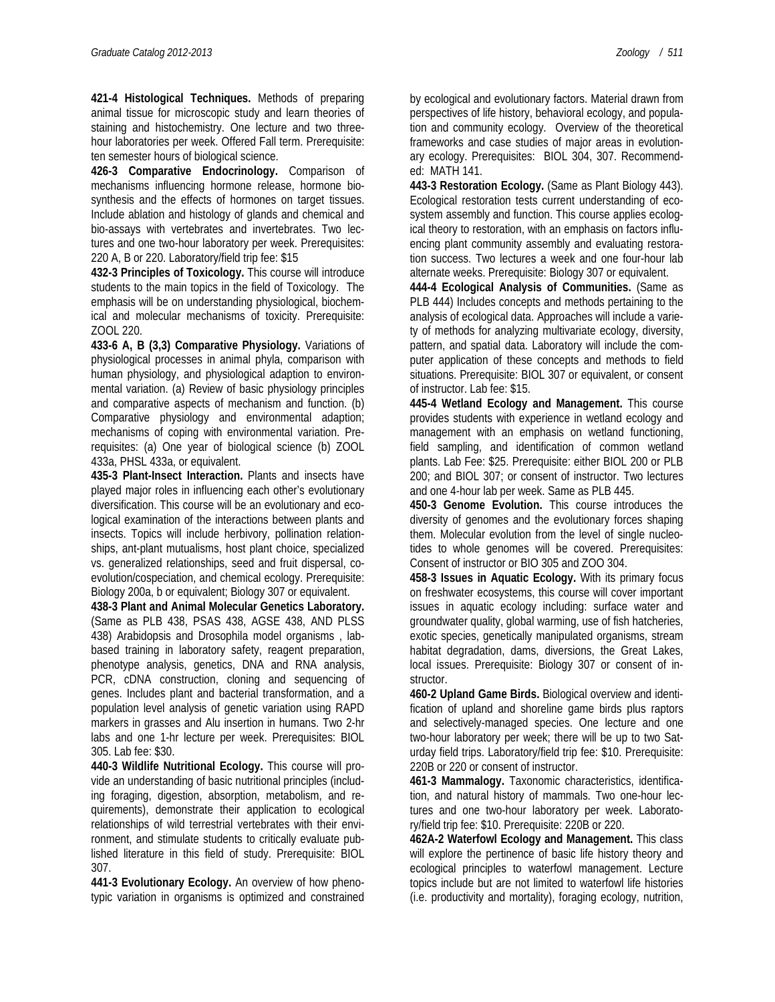**421-4 Histological Techniques.** Methods of preparing animal tissue for microscopic study and learn theories of staining and histochemistry. One lecture and two threehour laboratories per week. Offered Fall term. Prerequisite: ten semester hours of biological science.

**426-3 Comparative Endocrinology.** Comparison of mechanisms influencing hormone release, hormone biosynthesis and the effects of hormones on target tissues. Include ablation and histology of glands and chemical and bio-assays with vertebrates and invertebrates. Two lectures and one two-hour laboratory per week. Prerequisites: 220 A, B or 220. Laboratory/field trip fee: \$15

**432-3 Principles of Toxicology.** This course will introduce students to the main topics in the field of Toxicology. The emphasis will be on understanding physiological, biochemical and molecular mechanisms of toxicity. Prerequisite: ZOOL 220.

**433-6 A, B (3,3) Comparative Physiology.** Variations of physiological processes in animal phyla, comparison with human physiology, and physiological adaption to environmental variation. (a) Review of basic physiology principles and comparative aspects of mechanism and function. (b) Comparative physiology and environmental adaption; mechanisms of coping with environmental variation. Prerequisites: (a) One year of biological science (b) ZOOL 433a, PHSL 433a, or equivalent.

**435-3 Plant-Insect Interaction.** Plants and insects have played major roles in influencing each other's evolutionary diversification. This course will be an evolutionary and ecological examination of the interactions between plants and insects. Topics will include herbivory, pollination relationships, ant-plant mutualisms, host plant choice, specialized vs. generalized relationships, seed and fruit dispersal, coevolution/cospeciation, and chemical ecology. Prerequisite: Biology 200a, b or equivalent; Biology 307 or equivalent.

**438-3 Plant and Animal Molecular Genetics Laboratory.**  (Same as PLB 438, PSAS 438, AGSE 438, AND PLSS 438) Arabidopsis and Drosophila model organisms , labbased training in laboratory safety, reagent preparation, phenotype analysis, genetics, DNA and RNA analysis, PCR, cDNA construction, cloning and sequencing of genes. Includes plant and bacterial transformation, and a population level analysis of genetic variation using RAPD markers in grasses and Alu insertion in humans. Two 2-hr labs and one 1-hr lecture per week. Prerequisites: BIOL 305. Lab fee: \$30.

**440-3 Wildlife Nutritional Ecology.** This course will provide an understanding of basic nutritional principles (including foraging, digestion, absorption, metabolism, and requirements), demonstrate their application to ecological relationships of wild terrestrial vertebrates with their environment, and stimulate students to critically evaluate published literature in this field of study. Prerequisite: BIOL 307.

**441-3 Evolutionary Ecology.** An overview of how phenotypic variation in organisms is optimized and constrained by ecological and evolutionary factors. Material drawn from perspectives of life history, behavioral ecology, and population and community ecology. Overview of the theoretical frameworks and case studies of major areas in evolutionary ecology. Prerequisites: BIOL 304, 307. Recommended: MATH 141.

**443-3 Restoration Ecology.** (Same as Plant Biology 443). Ecological restoration tests current understanding of ecosystem assembly and function. This course applies ecological theory to restoration, with an emphasis on factors influencing plant community assembly and evaluating restoration success. Two lectures a week and one four-hour lab alternate weeks. Prerequisite: Biology 307 or equivalent.

**444-4 Ecological Analysis of Communities.** (Same as PLB 444) Includes concepts and methods pertaining to the analysis of ecological data. Approaches will include a variety of methods for analyzing multivariate ecology, diversity, pattern, and spatial data. Laboratory will include the computer application of these concepts and methods to field situations. Prerequisite: BIOL 307 or equivalent, or consent of instructor. Lab fee: \$15.

**445-4 Wetland Ecology and Management.** This course provides students with experience in wetland ecology and management with an emphasis on wetland functioning, field sampling, and identification of common wetland plants. Lab Fee: \$25. Prerequisite: either BIOL 200 or PLB 200; and BIOL 307; or consent of instructor. Two lectures and one 4-hour lab per week. Same as PLB 445.

**450-3 Genome Evolution.** This course introduces the diversity of genomes and the evolutionary forces shaping them. Molecular evolution from the level of single nucleotides to whole genomes will be covered. Prerequisites: Consent of instructor or BIO 305 and ZOO 304.

**458-3 Issues in Aquatic Ecology.** With its primary focus on freshwater ecosystems, this course will cover important issues in aquatic ecology including: surface water and groundwater quality, global warming, use of fish hatcheries, exotic species, genetically manipulated organisms, stream habitat degradation, dams, diversions, the Great Lakes, local issues. Prerequisite: Biology 307 or consent of instructor.

**460-2 Upland Game Birds.** Biological overview and identification of upland and shoreline game birds plus raptors and selectively-managed species. One lecture and one two-hour laboratory per week; there will be up to two Saturday field trips. Laboratory/field trip fee: \$10. Prerequisite: 220B or 220 or consent of instructor.

**461-3 Mammalogy.** Taxonomic characteristics, identification, and natural history of mammals. Two one-hour lectures and one two-hour laboratory per week. Laboratory/field trip fee: \$10. Prerequisite: 220B or 220.

**462A-2 Waterfowl Ecology and Management.** This class will explore the pertinence of basic life history theory and ecological principles to waterfowl management. Lecture topics include but are not limited to waterfowl life histories (i.e. productivity and mortality), foraging ecology, nutrition,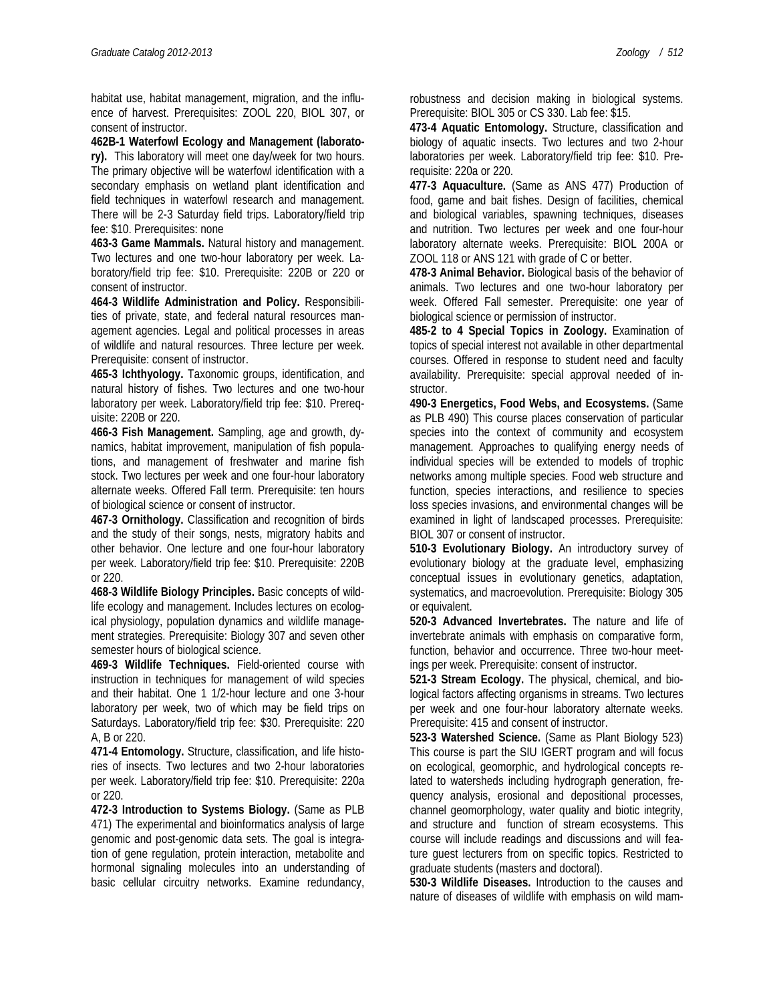habitat use, habitat management, migration, and the influence of harvest. Prerequisites: ZOOL 220, BIOL 307, or consent of instructor.

**462B-1 Waterfowl Ecology and Management (laborato-**

**ry).** This laboratory will meet one day/week for two hours. The primary objective will be waterfowl identification with a secondary emphasis on wetland plant identification and field techniques in waterfowl research and management. There will be 2-3 Saturday field trips. Laboratory/field trip fee: \$10. Prerequisites: none

**463-3 Game Mammals.** Natural history and management. Two lectures and one two-hour laboratory per week. Laboratory/field trip fee: \$10. Prerequisite: 220B or 220 or consent of instructor.

**464-3 Wildlife Administration and Policy.** Responsibilities of private, state, and federal natural resources management agencies. Legal and political processes in areas of wildlife and natural resources. Three lecture per week. Prerequisite: consent of instructor.

**465-3 Ichthyology.** Taxonomic groups, identification, and natural history of fishes. Two lectures and one two-hour laboratory per week. Laboratory/field trip fee: \$10. Prerequisite: 220B or 220.

**466-3 Fish Management.** Sampling, age and growth, dynamics, habitat improvement, manipulation of fish populations, and management of freshwater and marine fish stock. Two lectures per week and one four-hour laboratory alternate weeks. Offered Fall term. Prerequisite: ten hours of biological science or consent of instructor.

**467-3 Ornithology.** Classification and recognition of birds and the study of their songs, nests, migratory habits and other behavior. One lecture and one four-hour laboratory per week. Laboratory/field trip fee: \$10. Prerequisite: 220B or 220.

**468-3 Wildlife Biology Principles.** Basic concepts of wildlife ecology and management. Includes lectures on ecological physiology, population dynamics and wildlife management strategies. Prerequisite: Biology 307 and seven other semester hours of biological science.

**469-3 Wildlife Techniques.** Field-oriented course with instruction in techniques for management of wild species and their habitat. One 1 1/2-hour lecture and one 3-hour laboratory per week, two of which may be field trips on Saturdays. Laboratory/field trip fee: \$30. Prerequisite: 220 A, B or 220.

**471-4 Entomology.** Structure, classification, and life histories of insects. Two lectures and two 2-hour laboratories per week. Laboratory/field trip fee: \$10. Prerequisite: 220a or 220.

**472-3 Introduction to Systems Biology.** (Same as PLB 471) The experimental and bioinformatics analysis of large genomic and post-genomic data sets. The goal is integration of gene regulation, protein interaction, metabolite and hormonal signaling molecules into an understanding of basic cellular circuitry networks. Examine redundancy, robustness and decision making in biological systems. Prerequisite: BIOL 305 or CS 330. Lab fee: \$15.

**473-4 Aquatic Entomology.** Structure, classification and biology of aquatic insects. Two lectures and two 2-hour laboratories per week. Laboratory/field trip fee: \$10. Prerequisite: 220a or 220.

**477-3 Aquaculture.** (Same as ANS 477) Production of food, game and bait fishes. Design of facilities, chemical and biological variables, spawning techniques, diseases and nutrition. Two lectures per week and one four-hour laboratory alternate weeks. Prerequisite: BIOL 200A or ZOOL 118 or ANS 121 with grade of C or better.

**478-3 Animal Behavior.** Biological basis of the behavior of animals. Two lectures and one two-hour laboratory per week. Offered Fall semester. Prerequisite: one year of biological science or permission of instructor.

**485-2 to 4 Special Topics in Zoology.** Examination of topics of special interest not available in other departmental courses. Offered in response to student need and faculty availability. Prerequisite: special approval needed of instructor.

**490-3 Energetics, Food Webs, and Ecosystems.** (Same as PLB 490) This course places conservation of particular species into the context of community and ecosystem management. Approaches to qualifying energy needs of individual species will be extended to models of trophic networks among multiple species. Food web structure and function, species interactions, and resilience to species loss species invasions, and environmental changes will be examined in light of landscaped processes. Prerequisite: BIOL 307 or consent of instructor.

**510-3 Evolutionary Biology.** An introductory survey of evolutionary biology at the graduate level, emphasizing conceptual issues in evolutionary genetics, adaptation, systematics, and macroevolution. Prerequisite: Biology 305 or equivalent.

**520-3 Advanced Invertebrates.** The nature and life of invertebrate animals with emphasis on comparative form, function, behavior and occurrence. Three two-hour meetings per week. Prerequisite: consent of instructor.

**521-3 Stream Ecology.** The physical, chemical, and biological factors affecting organisms in streams. Two lectures per week and one four-hour laboratory alternate weeks. Prerequisite: 415 and consent of instructor.

**523-3 Watershed Science.** (Same as Plant Biology 523) This course is part the SIU IGERT program and will focus on ecological, geomorphic, and hydrological concepts related to watersheds including hydrograph generation, frequency analysis, erosional and depositional processes, channel geomorphology, water quality and biotic integrity, and structure and function of stream ecosystems. This course will include readings and discussions and will feature guest lecturers from on specific topics. Restricted to graduate students (masters and doctoral).

**530-3 Wildlife Diseases.** Introduction to the causes and nature of diseases of wildlife with emphasis on wild mam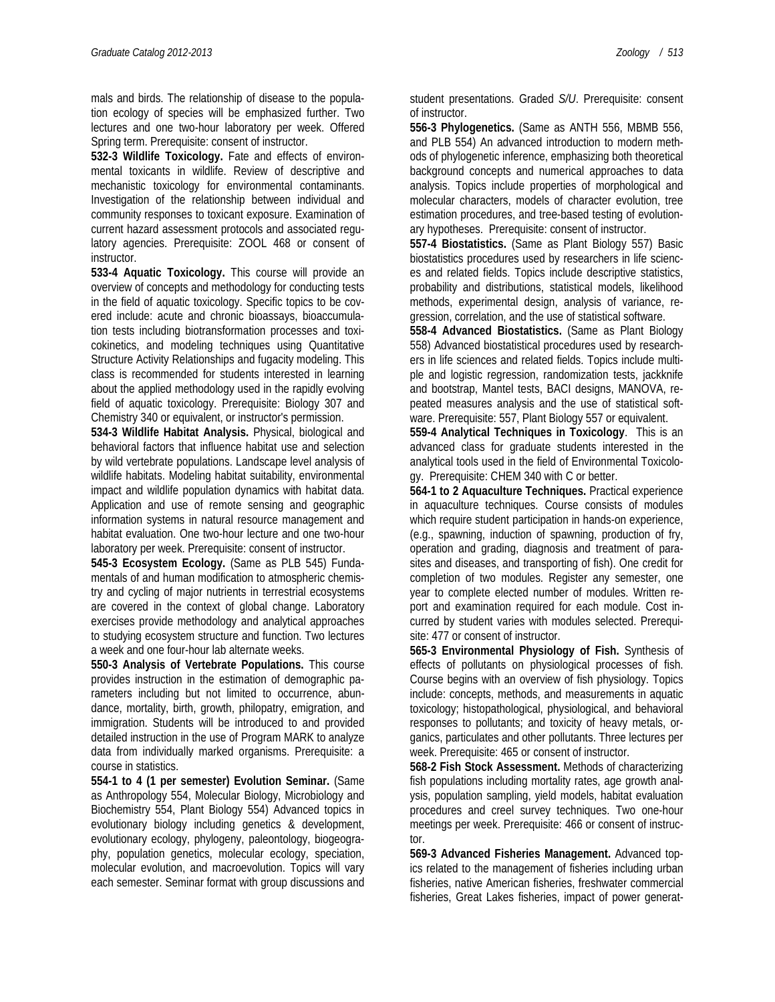mals and birds. The relationship of disease to the population ecology of species will be emphasized further. Two lectures and one two-hour laboratory per week. Offered Spring term. Prerequisite: consent of instructor.

**532-3 Wildlife Toxicology.** Fate and effects of environmental toxicants in wildlife. Review of descriptive and mechanistic toxicology for environmental contaminants. Investigation of the relationship between individual and community responses to toxicant exposure. Examination of current hazard assessment protocols and associated regulatory agencies. Prerequisite: ZOOL 468 or consent of instructor.

**533-4 Aquatic Toxicology.** This course will provide an overview of concepts and methodology for conducting tests in the field of aquatic toxicology. Specific topics to be covered include: acute and chronic bioassays, bioaccumulation tests including biotransformation processes and toxicokinetics, and modeling techniques using Quantitative Structure Activity Relationships and fugacity modeling. This class is recommended for students interested in learning about the applied methodology used in the rapidly evolving field of aquatic toxicology. Prerequisite: Biology 307 and Chemistry 340 or equivalent, or instructor's permission.

**534-3 Wildlife Habitat Analysis.** Physical, biological and behavioral factors that influence habitat use and selection by wild vertebrate populations. Landscape level analysis of wildlife habitats. Modeling habitat suitability, environmental impact and wildlife population dynamics with habitat data. Application and use of remote sensing and geographic information systems in natural resource management and habitat evaluation. One two-hour lecture and one two-hour laboratory per week. Prerequisite: consent of instructor.

**545-3 Ecosystem Ecology.** (Same as PLB 545) Fundamentals of and human modification to atmospheric chemistry and cycling of major nutrients in terrestrial ecosystems are covered in the context of global change. Laboratory exercises provide methodology and analytical approaches to studying ecosystem structure and function. Two lectures a week and one four-hour lab alternate weeks.

**550-3 Analysis of Vertebrate Populations.** This course provides instruction in the estimation of demographic parameters including but not limited to occurrence, abundance, mortality, birth, growth, philopatry, emigration, and immigration. Students will be introduced to and provided detailed instruction in the use of Program MARK to analyze data from individually marked organisms. Prerequisite: a course in statistics.

**554-1 to 4 (1 per semester) Evolution Seminar.** (Same as Anthropology 554, Molecular Biology, Microbiology and Biochemistry 554, Plant Biology 554) Advanced topics in evolutionary biology including genetics & development, evolutionary ecology, phylogeny, paleontology, biogeography, population genetics, molecular ecology, speciation, molecular evolution, and macroevolution. Topics will vary each semester. Seminar format with group discussions and

student presentations. Graded *S/U*. Prerequisite: consent of instructor.

**556-3 Phylogenetics.** (Same as ANTH 556, MBMB 556, and PLB 554) An advanced introduction to modern methods of phylogenetic inference, emphasizing both theoretical background concepts and numerical approaches to data analysis. Topics include properties of morphological and molecular characters, models of character evolution, tree estimation procedures, and tree-based testing of evolutionary hypotheses. Prerequisite: consent of instructor.

**557-4 Biostatistics.** (Same as Plant Biology 557) Basic biostatistics procedures used by researchers in life sciences and related fields. Topics include descriptive statistics, probability and distributions, statistical models, likelihood methods, experimental design, analysis of variance, regression, correlation, and the use of statistical software.

**558-4 Advanced Biostatistics.** (Same as Plant Biology 558) Advanced biostatistical procedures used by researchers in life sciences and related fields. Topics include multiple and logistic regression, randomization tests, jackknife and bootstrap, Mantel tests, BACI designs, MANOVA, repeated measures analysis and the use of statistical software. Prerequisite: 557, Plant Biology 557 or equivalent.

**559-4 Analytical Techniques in Toxicology**. This is an advanced class for graduate students interested in the analytical tools used in the field of Environmental Toxicology. Prerequisite: CHEM 340 with C or better.

**564-1 to 2 Aquaculture Techniques.** Practical experience in aquaculture techniques. Course consists of modules which require student participation in hands-on experience, (e.g., spawning, induction of spawning, production of fry, operation and grading, diagnosis and treatment of parasites and diseases, and transporting of fish). One credit for completion of two modules. Register any semester, one year to complete elected number of modules. Written report and examination required for each module. Cost incurred by student varies with modules selected. Prerequisite: 477 or consent of instructor.

**565-3 Environmental Physiology of Fish.** Synthesis of effects of pollutants on physiological processes of fish. Course begins with an overview of fish physiology. Topics include: concepts, methods, and measurements in aquatic toxicology; histopathological, physiological, and behavioral responses to pollutants; and toxicity of heavy metals, organics, particulates and other pollutants. Three lectures per week. Prerequisite: 465 or consent of instructor.

**568-2 Fish Stock Assessment.** Methods of characterizing fish populations including mortality rates, age growth analysis, population sampling, yield models, habitat evaluation procedures and creel survey techniques. Two one-hour meetings per week. Prerequisite: 466 or consent of instructor.

**569-3 Advanced Fisheries Management.** Advanced topics related to the management of fisheries including urban fisheries, native American fisheries, freshwater commercial fisheries, Great Lakes fisheries, impact of power generat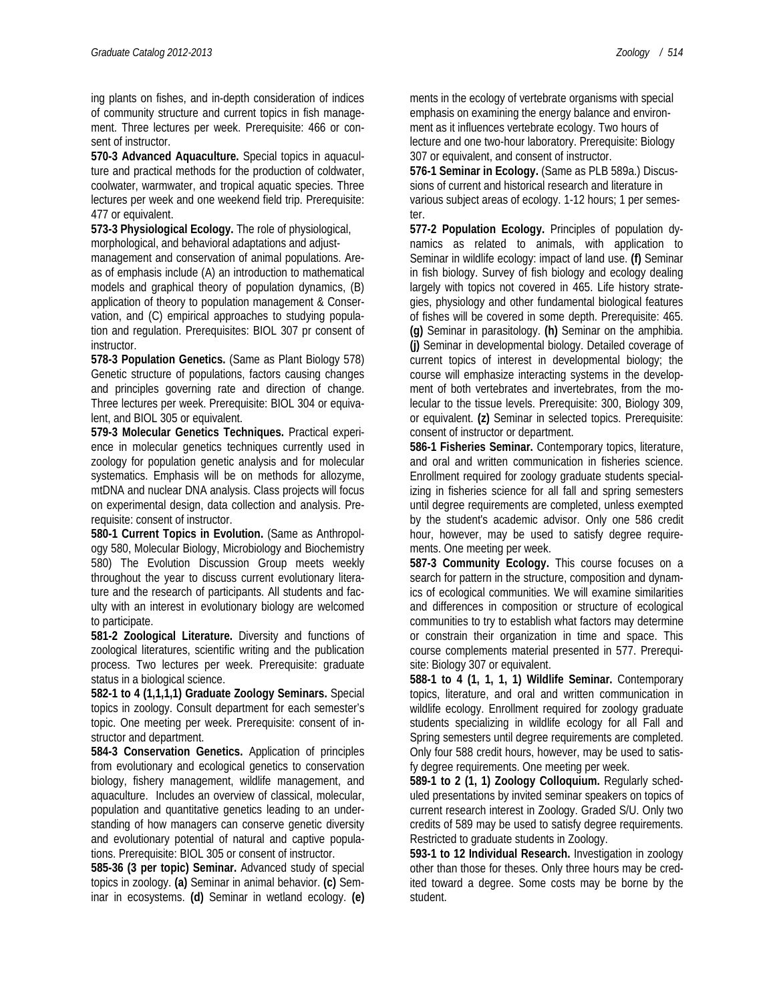ing plants on fishes, and in-depth consideration of indices of community structure and current topics in fish management. Three lectures per week. Prerequisite: 466 or consent of instructor.

**570-3 Advanced Aquaculture.** Special topics in aquaculture and practical methods for the production of coldwater, coolwater, warmwater, and tropical aquatic species. Three lectures per week and one weekend field trip. Prerequisite: 477 or equivalent.

**573-3 Physiological Ecology.** The role of physiological, morphological, and behavioral adaptations and adjust-

management and conservation of animal populations. Areas of emphasis include (A) an introduction to mathematical models and graphical theory of population dynamics, (B) application of theory to population management & Conservation, and (C) empirical approaches to studying population and regulation. Prerequisites: BIOL 307 pr consent of instructor.

**578-3 Population Genetics.** (Same as Plant Biology 578) Genetic structure of populations, factors causing changes and principles governing rate and direction of change. Three lectures per week. Prerequisite: BIOL 304 or equivalent, and BIOL 305 or equivalent.

**579-3 Molecular Genetics Techniques.** Practical experience in molecular genetics techniques currently used in zoology for population genetic analysis and for molecular systematics. Emphasis will be on methods for allozyme, mtDNA and nuclear DNA analysis. Class projects will focus on experimental design, data collection and analysis. Prerequisite: consent of instructor.

**580-1 Current Topics in Evolution.** (Same as Anthropology 580, Molecular Biology, Microbiology and Biochemistry 580) The Evolution Discussion Group meets weekly throughout the year to discuss current evolutionary literature and the research of participants. All students and faculty with an interest in evolutionary biology are welcomed to participate.

**581-2 Zoological Literature.** Diversity and functions of zoological literatures, scientific writing and the publication process. Two lectures per week. Prerequisite: graduate status in a biological science.

**582-1 to 4 (1,1,1,1) Graduate Zoology Seminars.** Special topics in zoology. Consult department for each semester's topic. One meeting per week. Prerequisite: consent of instructor and department.

**584-3 Conservation Genetics.** Application of principles from evolutionary and ecological genetics to conservation biology, fishery management, wildlife management, and aquaculture. Includes an overview of classical, molecular, population and quantitative genetics leading to an understanding of how managers can conserve genetic diversity and evolutionary potential of natural and captive populations. Prerequisite: BIOL 305 or consent of instructor.

**585-36 (3 per topic) Seminar.** Advanced study of special topics in zoology. **(a)** Seminar in animal behavior. **(c)** Seminar in ecosystems. **(d)** Seminar in wetland ecology. **(e)**

ments in the ecology of vertebrate organisms with special emphasis on examining the energy balance and environment as it influences vertebrate ecology. Two hours of lecture and one two-hour laboratory. Prerequisite: Biology 307 or equivalent, and consent of instructor.

**576-1 Seminar in Ecology.** (Same as PLB 589a.) Discussions of current and historical research and literature in various subject areas of ecology. 1-12 hours; 1 per semester.

**577-2 Population Ecology.** Principles of population dynamics as related to animals, with application to Seminar in wildlife ecology: impact of land use. **(f)** Seminar in fish biology. Survey of fish biology and ecology dealing largely with topics not covered in 465. Life history strategies, physiology and other fundamental biological features of fishes will be covered in some depth. Prerequisite: 465. **(g)** Seminar in parasitology. **(h)** Seminar on the amphibia. **(j)** Seminar in developmental biology. Detailed coverage of current topics of interest in developmental biology; the course will emphasize interacting systems in the development of both vertebrates and invertebrates, from the molecular to the tissue levels. Prerequisite: 300, Biology 309, or equivalent. **(z)** Seminar in selected topics. Prerequisite: consent of instructor or department.

**586-1 Fisheries Seminar.** Contemporary topics, literature, and oral and written communication in fisheries science. Enrollment required for zoology graduate students specializing in fisheries science for all fall and spring semesters until degree requirements are completed, unless exempted by the student's academic advisor. Only one 586 credit hour, however, may be used to satisfy degree requirements. One meeting per week.

**587-3 Community Ecology.** This course focuses on a search for pattern in the structure, composition and dynamics of ecological communities. We will examine similarities and differences in composition or structure of ecological communities to try to establish what factors may determine or constrain their organization in time and space. This course complements material presented in 577. Prerequisite: Biology 307 or equivalent.

**588-1 to 4 (1, 1, 1, 1) Wildlife Seminar.** Contemporary topics, literature, and oral and written communication in wildlife ecology. Enrollment required for zoology graduate students specializing in wildlife ecology for all Fall and Spring semesters until degree requirements are completed. Only four 588 credit hours, however, may be used to satisfy degree requirements. One meeting per week.

**589-1 to 2 (1, 1) Zoology Colloquium.** Regularly scheduled presentations by invited seminar speakers on topics of current research interest in Zoology. Graded S/U. Only two credits of 589 may be used to satisfy degree requirements. Restricted to graduate students in Zoology.

**593-1 to 12 Individual Research.** Investigation in zoology other than those for theses. Only three hours may be credited toward a degree. Some costs may be borne by the student.